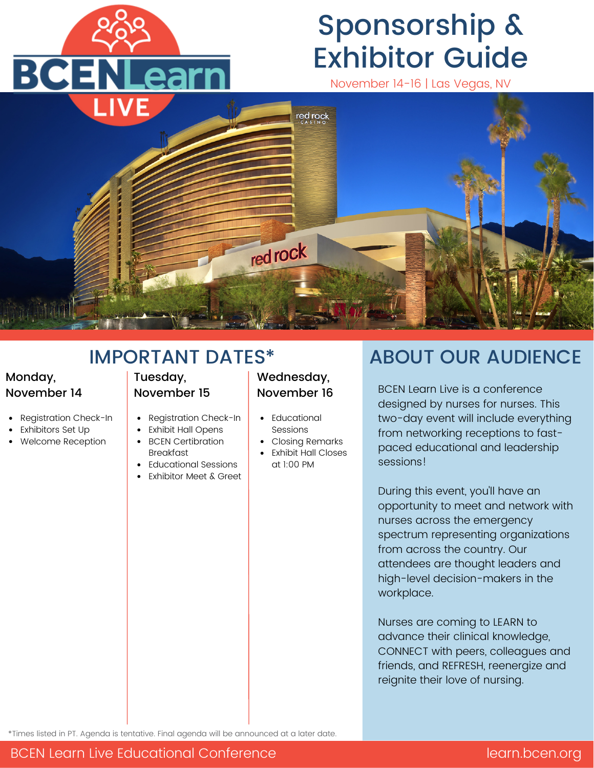

# Sponsorship & Exhibitor Guide

November 14-16 | Las Vegas, NV



## IMPORTANT DATES\*

### Monday, November 14

- Registration Check-In
- Exhibitors Set Up
- Welcome Reception

### Tuesday, November 15

- Registration Check-In
	- Exhibit Hall Opens
- BCEN Certibration Breakfast
- Educational Sessions
- Exhibitor Meet & Greet

### Wednesday, November 16

- Educational Sessions
- Closing Remarks
- Exhibit Hall Closes at 1:00 PM

## ABOUT OUR AUDIENCE

BCEN Learn Live is a conference designed by nurses for nurses. This two-day event will include everything from networking receptions to fastpaced educational and leadership sessions!

During this event, you'll have an opportunity to meet and network with nurses across the emergency spectrum representing organizations from across the country. Our attendees are thought leaders and high-level decision-makers in the workplace.

Nurses are coming to LEARN to advance their clinical knowledge, CONNECT with peers, colleagues and friends, and REFRESH, reenergize and reignite their love of nursing.

\*Times listed in PT. Agenda is tentative. Final agenda will be announced at a later date.